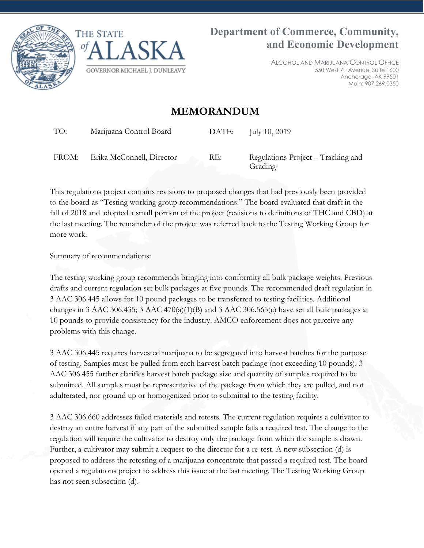



ALCOHOL AND MARIJUANA CONTROL OFFICE 550 West 7th Avenue, Suite 1600 Anchorage, AK 99501 Main: 907.269.0350

# **MEMORANDUM**

TO: Marijuana Control Board DATE: July 10, 2019

FROM: Erika McConnell, Director

RE: Regulations Project – Tracking and Grading

This regulations project contains revisions to proposed changes that had previously been provided to the board as "Testing working group recommendations." The board evaluated that draft in the fall of 2018 and adopted a small portion of the project (revisions to definitions of THC and CBD) at the last meeting. The remainder of the project was referred back to the Testing Working Group for more work.

Summary of recommendations:

The testing working group recommends bringing into conformity all bulk package weights. Previous drafts and current regulation set bulk packages at five pounds. The recommended draft regulation in 3 AAC 306.445 allows for 10 pound packages to be transferred to testing facilities. Additional changes in 3 AAC 306.435; 3 AAC 470(a)(1)(B) and 3 AAC 306.565(c) have set all bulk packages at 10 pounds to provide consistency for the industry. AMCO enforcement does not perceive any problems with this change.

3 AAC 306.445 requires harvested marijuana to be segregated into harvest batches for the purpose of testing. Samples must be pulled from each harvest batch package (not exceeding 10 pounds). 3 AAC 306.455 further clarifies harvest batch package size and quantity of samples required to be submitted. All samples must be representative of the package from which they are pulled, and not adulterated, nor ground up or homogenized prior to submittal to the testing facility.

3 AAC 306.660 addresses failed materials and retests. The current regulation requires a cultivator to destroy an entire harvest if any part of the submitted sample fails a required test. The change to the regulation will require the cultivator to destroy only the package from which the sample is drawn. Further, a cultivator may submit a request to the director for a re-test. A new subsection (d) is proposed to address the retesting of a marijuana concentrate that passed a required test. The board opened a regulations project to address this issue at the last meeting. The Testing Working Group has not seen subsection (d).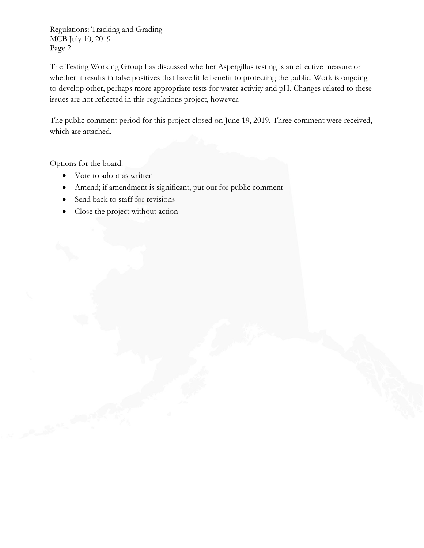Regulations: Tracking and Grading MCB July 10, 2019 Page 2

The Testing Working Group has discussed whether Aspergillus testing is an effective measure or whether it results in false positives that have little benefit to protecting the public. Work is ongoing to develop other, perhaps more appropriate tests for water activity and pH. Changes related to these issues are not reflected in this regulations project, however.

The public comment period for this project closed on June 19, 2019. Three comment were received, which are attached.

Options for the board:

- Vote to adopt as written
- Amend; if amendment is significant, put out for public comment
- Send back to staff for revisions
- Close the project without action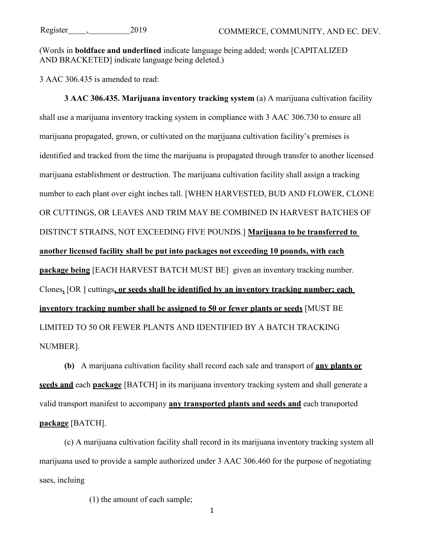(Words in **boldface and underlined** indicate language being added; words [CAPITALIZED AND BRACKETED] indicate language being deleted.)

3 AAC 306.435 is amended to read:

**3 AAC 306.435. Marijuana inventory tracking system** (a) A marijuana cultivation facility shall use a marijuana inventory tracking system in compliance with 3 AAC 306.730 to ensure all marijuana propagated, grown, or cultivated on the marijuana cultivation facility's premises is identified and tracked from the time the marijuana is propagated through transfer to another licensed marijuana establishment or destruction. The marijuana cultivation facility shall assign a tracking number to each plant over eight inches tall. [WHEN HARVESTED, BUD AND FLOWER, CLONE OR CUTTINGS, OR LEAVES AND TRIM MAY BE COMBINED IN HARVEST BATCHES OF DISTINCT STRAINS, NOT EXCEEDING FIVE POUNDS.] **Marijuana to be transferred to another licensed facility shall be put into packages not exceeding 10 pounds, with each package being** [EACH HARVEST BATCH MUST BE] given an inventory tracking number. Clones**,** [OR ] cuttings**, or seeds shall be identified by an inventory tracking number; each inventory tracking number shall be assigned to 50 or fewer plants or seeds** [MUST BE LIMITED TO 50 OR FEWER PLANTS AND IDENTIFIED BY A BATCH TRACKING NUMBER].

**(b)** A marijuana cultivation facility shall record each sale and transport of **any plants or seeds and** each **package** [BATCH] in its marijuana inventory tracking system and shall generate a valid transport manifest to accompany **any transported plants and seeds and** each transported **package** [BATCH].

(c) A marijuana cultivation facility shall record in its marijuana inventory tracking system all marijuana used to provide a sample authorized under 3 AAC 306.460 for the purpose of negotiating saes, incluing

(1) the amount of each sample;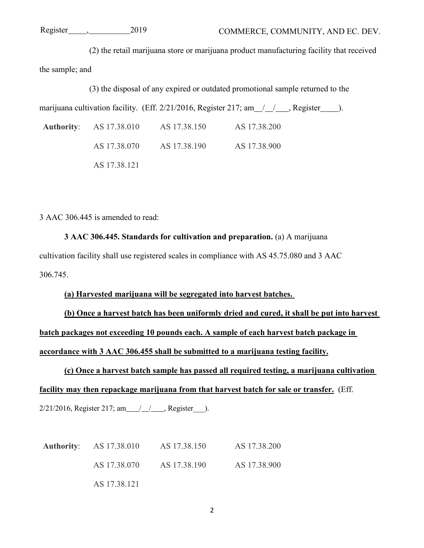(2) the retail marijuana store or marijuana product manufacturing facility that received the sample; and

(3) the disposal of any expired or outdated promotional sample returned to the

marijuana cultivation facility. (Eff.  $2/21/2016$ , Register 217; am  $\frac{1}{2}$ , Register ).

**Authority**: AS 17.38.010 AS 17.38.150 AS 17.38.200 AS 17.38.070 AS 17.38.190 AS 17.38.900 AS 17.38.121

3 AAC 306.445 is amended to read:

**3 AAC 306.445. Standards for cultivation and preparation.** (a) A marijuana cultivation facility shall use registered scales in compliance with AS 45.75.080 and 3 AAC 306.745.

#### **(a) Harvested marijuana will be segregated into harvest batches.**

**(b) Once a harvest batch has been uniformly dried and cured, it shall be put into harvest batch packages not exceeding 10 pounds each. A sample of each harvest batch package in accordance with 3 AAC 306.455 shall be submitted to a marijuana testing facility.**

**(c) Once a harvest batch sample has passed all required testing, a marijuana cultivation facility may then repackage marijuana from that harvest batch for sale or transfer.** (Eff.

 $2/21/2016$ , Register 217; am  $\frac{\pi}{2}$ , Register  $\frac{\pi}{2}$ .

| <b>Authority</b> : AS 17.38.010 | AS 17.38.150 | AS 17.38.200 |
|---------------------------------|--------------|--------------|
| AS 17.38.070                    | AS 17.38.190 | AS 17.38.900 |
| AS 17.38.121                    |              |              |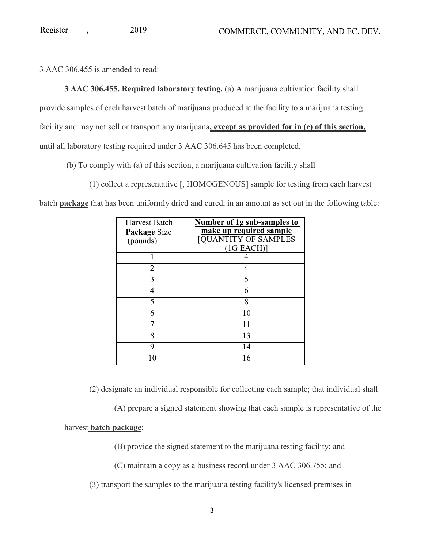3 AAC 306.455 is amended to read:

**3 AAC 306.455. Required laboratory testing.** (a) A marijuana cultivation facility shall provide samples of each harvest batch of marijuana produced at the facility to a marijuana testing facility and may not sell or transport any marijuana**, except as provided for in (c) of this section,** until all laboratory testing required under 3 AAC 306.645 has been completed.

(b) To comply with (a) of this section, a marijuana cultivation facility shall

(1) collect a representative [, HOMOGENOUS] sample for testing from each harvest

batch **package** that has been uniformly dried and cured, in an amount as set out in the following table:

| Harvest Batch  | Number of 1g sub-samples to |
|----------------|-----------------------------|
| Package Size   | make up required sample     |
| (pounds)       | <b>QUANTITY OF SAMPLES</b>  |
|                | (1G EACH)                   |
|                |                             |
| $\mathfrak{D}$ |                             |
| 3              | 5                           |
|                | 6                           |
| 5              | 8                           |
| 6              | 10                          |
|                | 11                          |
| 8              | 13                          |
| q              | 14                          |
|                | 16                          |

(2) designate an individual responsible for collecting each sample; that individual shall

(A) prepare a signed statement showing that each sample is representative of the

## harvest **batch package**;

(B) provide the signed statement to the marijuana testing facility; and

(C) maintain a copy as a business record under 3 AAC 306.755; and

(3) transport the samples to the marijuana testing facility's licensed premises in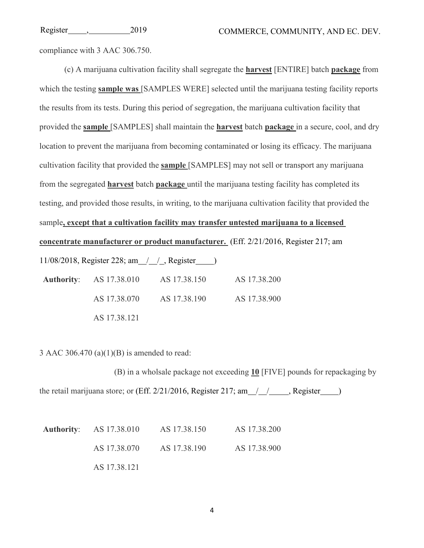compliance with 3 AAC 306.750.

(c) A marijuana cultivation facility shall segregate the **harvest** [ENTIRE] batch **package** from which the testing **sample was** [SAMPLES WERE] selected until the marijuana testing facility reports the results from its tests. During this period of segregation, the marijuana cultivation facility that provided the **sample** [SAMPLES] shall maintain the **harvest** batch **package** in a secure, cool, and dry location to prevent the marijuana from becoming contaminated or losing its efficacy. The marijuana cultivation facility that provided the **sample** [SAMPLES] may not sell or transport any marijuana from the segregated **harvest** batch **package** until the marijuana testing facility has completed its testing, and provided those results, in writing, to the marijuana cultivation facility that provided the sample**, except that a cultivation facility may transfer untested marijuana to a licensed** 

**concentrate manufacturer or product manufacturer.** (Eff. 2/21/2016, Register 217; am

11/08/2018, Register 228; am / / , Register ) **Authority**: AS 17.38.010 AS 17.38.150 AS 17.38.200 AS 17.38.070 AS 17.38.190 AS 17.38.900 AS 17.38.121

3 AAC 306.470 (a) $(1)(B)$  is amended to read:

(B) in a wholsale package not exceeding **10** [FIVE] pounds for repackaging by the retail marijuana store; or (Eff.  $2/21/2016$ , Register  $217$ ; am  $\frac{\ }{\ }$ 

| <b>Authority</b> : AS 17.38.010 | AS 17.38.150 | AS 17.38.200 |
|---------------------------------|--------------|--------------|
| AS 17.38.070                    | AS 17.38.190 | AS 17.38.900 |
| AS 17.38.121                    |              |              |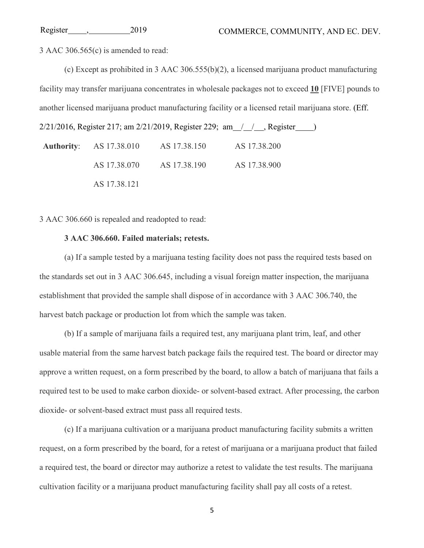3 AAC 306.565(c) is amended to read:

(c) Except as prohibited in 3 AAC 306.555(b)(2), a licensed marijuana product manufacturing facility may transfer marijuana concentrates in wholesale packages not to exceed **10** [FIVE] pounds to another licensed marijuana product manufacturing facility or a licensed retail marijuana store. (Eff.

2/21/2016, Register 217; am 2/21/2019, Register 229; am / / , Register )

**Authority**: AS 17.38.010 AS 17.38.150 AS 17.38.200 AS 17.38.070 AS 17.38.190 AS 17.38.900 AS 17.38.121

3 AAC 306.660 is repealed and readopted to read:

#### **3 AAC 306.660. Failed materials; retests.**

(a) If a sample tested by a marijuana testing facility does not pass the required tests based on the standards set out in 3 AAC 306.645, including a visual foreign matter inspection, the marijuana establishment that provided the sample shall dispose of in accordance with 3 AAC 306.740, the harvest batch package or production lot from which the sample was taken.

(b) If a sample of marijuana fails a required test, any marijuana plant trim, leaf, and other usable material from the same harvest batch package fails the required test. The board or director may approve a written request, on a form prescribed by the board, to allow a batch of marijuana that fails a required test to be used to make carbon dioxide- or solvent-based extract. After processing, the carbon dioxide- or solvent-based extract must pass all required tests.

(c) If a marijuana cultivation or a marijuana product manufacturing facility submits a written request, on a form prescribed by the board, for a retest of marijuana or a marijuana product that failed a required test, the board or director may authorize a retest to validate the test results. The marijuana cultivation facility or a marijuana product manufacturing facility shall pay all costs of a retest.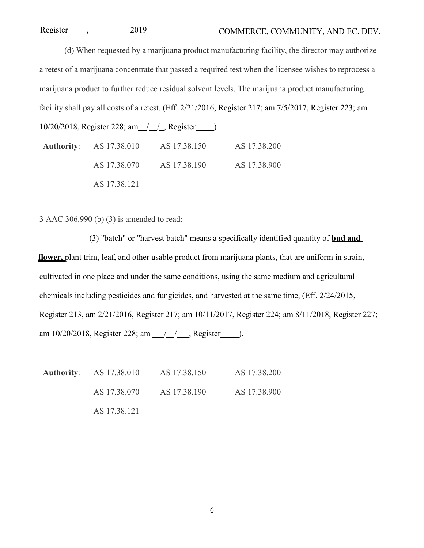### Register , 2019 COMMERCE, COMMUNITY, AND EC. DEV.

(d) When requested by a marijuana product manufacturing facility, the director may authorize a retest of a marijuana concentrate that passed a required test when the licensee wishes to reprocess a marijuana product to further reduce residual solvent levels. The marijuana product manufacturing facility shall pay all costs of a retest. (Eff. 2/21/2016, Register 217; am 7/5/2017, Register 223; am

10/20/2018, Register 228; am / / , Register ) **Authority**: AS 17.38.010 AS 17.38.150 AS 17.38.200 AS 17.38.070 AS 17.38.190 AS 17.38.900 AS 17.38.121

3 AAC 306.990 (b) (3) is amended to read:

(3) "batch" or "harvest batch" means a specifically identified quantity of **bud and flower,** plant trim, leaf, and other usable product from marijuana plants, that are uniform in strain, cultivated in one place and under the same conditions, using the same medium and agricultural chemicals including pesticides and fungicides, and harvested at the same time; (Eff. 2/24/2015, Register 213, am 2/21/2016, Register 217; am 10/11/2017, Register 224; am 8/11/2018, Register 227; am  $10/20/2018$ , Register 228; am  $\frac{1}{1}$ , Register  $\frac{1}{1}$ .

**Authority**: AS 17.38.010 AS 17.38.150 AS 17.38.200 AS 17.38.070 AS 17.38.190 AS 17.38.900 AS 17.38.121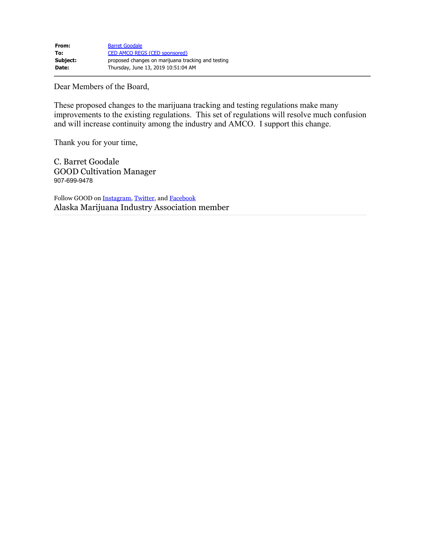Dear Members of the Board,

These proposed changes to the marijuana tracking and testing regulations make many improvements to the existing regulations. This set of regulations will resolve much confusion and will increase continuity among the industry and AMCO. I support this change.

Thank you for your time,

C. Barret Goodale GOOD Cultivation Manager 907-699-9478

Follow GOOD on [Instagram](https://urldefense.proofpoint.com/v2/url?u=https-3A__www.instagram.com_goodakcannabis_-3Fhl-3Den&d=DwMFaQ&c=teXCf5DW4bHgLDM-H5_GmQ&r=4M-EnMjk-bwCuHbOOAciFdymXBXfJ4ojVwApzxlAloQ&m=r9qfTG6Fbw7c4GE13fUNt-qB5jFMyYRNAd6HnhU354Y&s=WFECW8iv2Y4NJHuWOJ72rQKCz5MCXc4_7NLn9dR6Ip4&e=), [Twitter](https://urldefense.proofpoint.com/v2/url?u=https-3A__twitter.com_goodakcannabis&d=DwMFaQ&c=teXCf5DW4bHgLDM-H5_GmQ&r=4M-EnMjk-bwCuHbOOAciFdymXBXfJ4ojVwApzxlAloQ&m=r9qfTG6Fbw7c4GE13fUNt-qB5jFMyYRNAd6HnhU354Y&s=dSZortjabt6fch5-rY7lVMj5znEYGsVLwIVfz1e9s8A&e=), and [Facebook](https://urldefense.proofpoint.com/v2/url?u=http-3A__fb.me_goodalaska&d=DwMFaQ&c=teXCf5DW4bHgLDM-H5_GmQ&r=4M-EnMjk-bwCuHbOOAciFdymXBXfJ4ojVwApzxlAloQ&m=r9qfTG6Fbw7c4GE13fUNt-qB5jFMyYRNAd6HnhU354Y&s=EmDZZge6qzLNvdyZ-QlNsz04zF__A-8aSc-RyOqsXXI&e=) Alaska Marijuana Industry Association member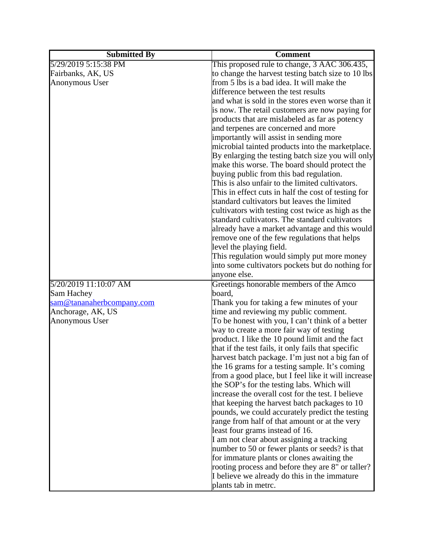| <b>Submitted By</b>       | <b>Comment</b>                                          |
|---------------------------|---------------------------------------------------------|
| 5/29/2019 5:15:38 PM      | This proposed rule to change, 3 AAC 306.435,            |
| Fairbanks, AK, US         | to change the harvest testing batch size to 10 lbs      |
| Anonymous User            | from 5 lbs is a bad idea. It will make the              |
|                           | difference between the test results                     |
|                           | and what is sold in the stores even worse than it       |
|                           | is now. The retail customers are now paying for         |
|                           | products that are mislabeled as far as potency          |
|                           | and terpenes are concerned and more                     |
|                           | importantly will assist in sending more                 |
|                           | microbial tainted products into the marketplace.        |
|                           | By enlarging the testing batch size you will only       |
|                           | make this worse. The board should protect the           |
|                           | buying public from this bad regulation.                 |
|                           | This is also unfair to the limited cultivators.         |
|                           | This in effect cuts in half the cost of testing for     |
|                           | standard cultivators but leaves the limited             |
|                           | cultivators with testing cost twice as high as the      |
|                           | standard cultivators. The standard cultivators          |
|                           | already have a market advantage and this would          |
|                           | remove one of the few regulations that helps            |
|                           | level the playing field.                                |
|                           | This regulation would simply put more money             |
|                           | into some cultivators pockets but do nothing for        |
| 5/20/2019 11:10:07 AM     | anyone else.<br>Greetings honorable members of the Amco |
| Sam Hachey                | board,                                                  |
| sam@tananaherbcompany.com | Thank you for taking a few minutes of your              |
| Anchorage, AK, US         | time and reviewing my public comment.                   |
| Anonymous User            | To be honest with you, I can't think of a better        |
|                           | way to create a more fair way of testing                |
|                           | product. I like the 10 pound limit and the fact         |
|                           | that if the test fails, it only fails that specific     |
|                           | harvest batch package. I'm just not a big fan of        |
|                           | the 16 grams for a testing sample. It's coming          |
|                           | from a good place, but I feel like it will increase     |
|                           | the SOP's for the testing labs. Which will              |
|                           | increase the overall cost for the test. I believe       |
|                           | that keeping the harvest batch packages to 10           |
|                           | pounds, we could accurately predict the testing         |
|                           | range from half of that amount or at the very           |
|                           | least four grams instead of 16.                         |
|                           | I am not clear about assigning a tracking               |
|                           | number to 50 or fewer plants or seeds? is that          |
|                           | for immature plants or clones awaiting the              |
|                           | rooting process and before they are 8" or taller?       |
|                           | I believe we already do this in the immature            |
|                           | plants tab in metrc.                                    |